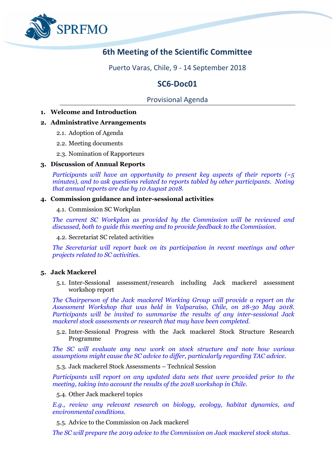

# **6th Meeting of the Scientific Committee**

Puerto Varas, Chile, 9 - 14 September 2018

# **SC6-Doc01**

# Provisional Agenda

**1. Welcome and Introduction**

# **2. Administrative Arrangements**

- 2.1. Adoption of Agenda
- 2.2. Meeting documents
- 2.3. Nomination of Rapporteurs

# **3. Discussion of Annual Reports**

*Participants will have an opportunity to present key aspects of their reports (~5 minutes), and to ask questions related to reports tabled by other participants. Noting that annual reports are due by 10 August 2018.* 

## **4. Commission guidance and inter-sessional activities**

4.1. Commission SC Workplan

*The current SC Workplan as provided by the Commission will be reviewed and discussed, both to guide this meeting and to provide feedback to the Commission.*

4.2. Secretariat SC related activities

*The Secretariat will report back on its participation in recent meetings and other projects related to SC activities.*

## **5. Jack Mackerel**

5.1. Inter-Sessional assessment/research including Jack mackerel assessment workshop report

*The Chairperson of the Jack mackerel Working Group will provide a report on the Assessment Workshop that was held in Valparaíso, Chile, on 28-30 May 2018. Participants will be invited to summarise the results of any inter-sessional Jack mackerel stock assessments or research that may have been completed.*

5.2. Inter-Sessional Progress with the Jack mackerel Stock Structure Research Programme

*The SC will evaluate any new work on stock structure and note how various assumptions might cause the SC advice to differ, particularly regarding TAC advice.* 

5.3. Jack mackerel Stock Assessments – Technical Session

*Participants will report on any updated data sets that were provided prior to the meeting, taking into account the results of the 2018 workshop in Chile.*

5.4. Other Jack mackerel topics

*E.g., review any relevant research on biology, ecology, habitat dynamics, and environmental conditions.*

5.5. Advice to the Commission on Jack mackerel

*The SC will prepare the 2019 advice to the Commission on Jack mackerel stock status.*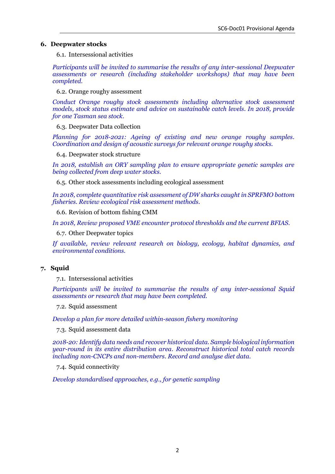#### **6. Deepwater stocks**

6.1. Intersessional activities

*Participants will be invited to summarise the results of any inter-sessional Deepwater assessments or research (including stakeholder workshops) that may have been completed.*

6.2. Orange roughy assessment

*Conduct Orange roughy stock assessments including alternative stock assessment models, stock status estimate and advice on sustainable catch levels. In 2018, provide for one Tasman sea stock.*

6.3. Deepwater Data collection

*Planning for 2018-2021: Ageing of existing and new orange roughy samples. Coordination and design of acoustic surveys for relevant orange roughy stocks.*

6.4. Deepwater stock structure

*In 2018, establish an ORY sampling plan to ensure appropriate genetic samples are being collected from deep water stocks.* 

6.5. Other stock assessments including ecological assessment

*In 2018, complete quantitative risk assessment of DW sharks caught in SPRFMO bottom fisheries. Review ecological risk assessment methods.*

6.6. Revision of bottom fishing CMM

*In 2018, Review proposed VME encounter protocol thresholds and the current BFIAS.*

6.7. Other Deepwater topics

*If available, review relevant research on biology, ecology, habitat dynamics, and environmental conditions.*

## **7. Squid**

7.1. Intersessional activities

*Participants will be invited to summarise the results of any inter-sessional Squid assessments or research that may have been completed.*

7.2. Squid assessment

*Develop a plan for more detailed within-season fishery monitoring*

7.3. Squid assessment data

*2018-20: Identify data needs and recover historical data. Sample biological information year-round in its entire distribution area. Reconstruct historical total catch records including non-CNCPs and non-members. Record and analyse diet data.*

7.4. Squid connectivity

*Develop standardised approaches, e.g., for genetic sampling*